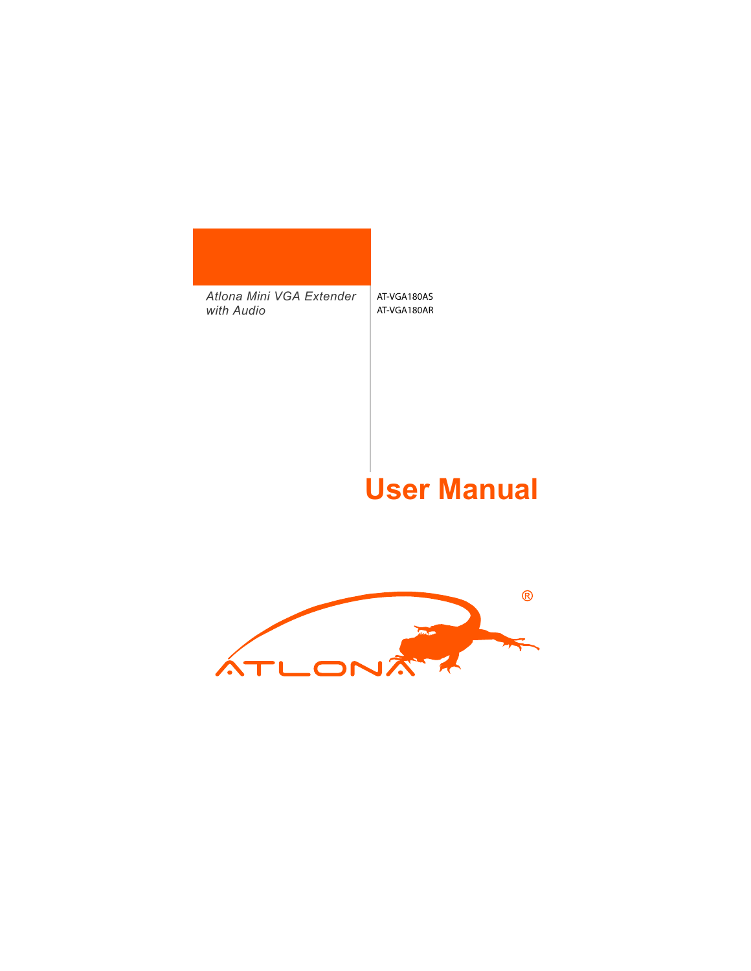#### *Atlona Mini VGA Extender with Audio* AT-VGA180AS AT-VGA180AR

#### **User Manual**

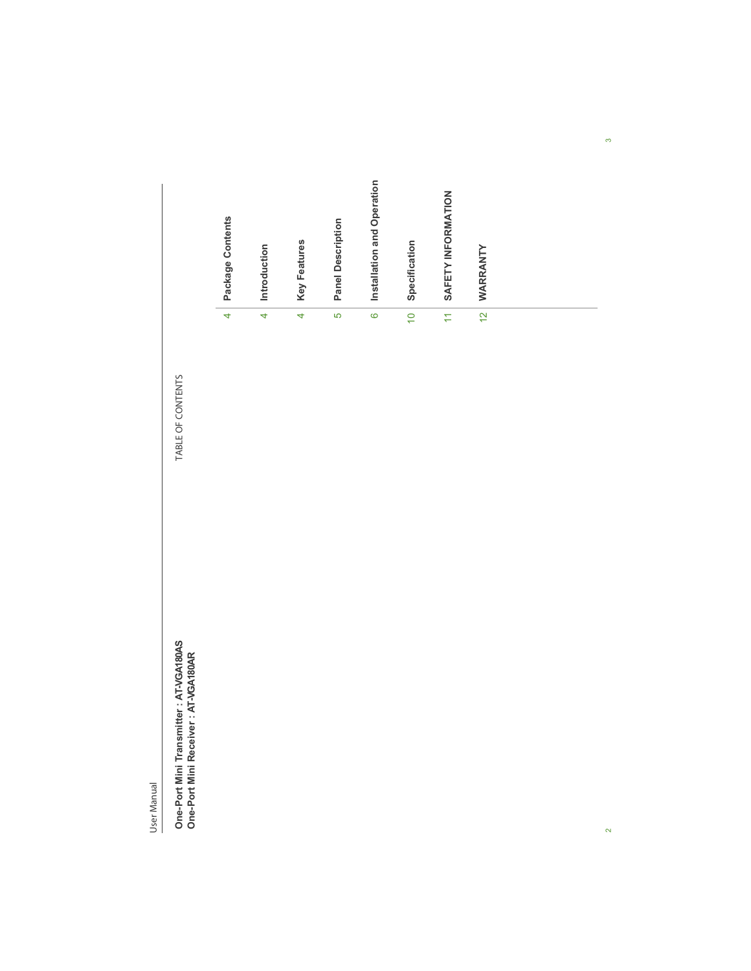

User Manual

 $\overline{2}$ 

 $\dot{\phi}$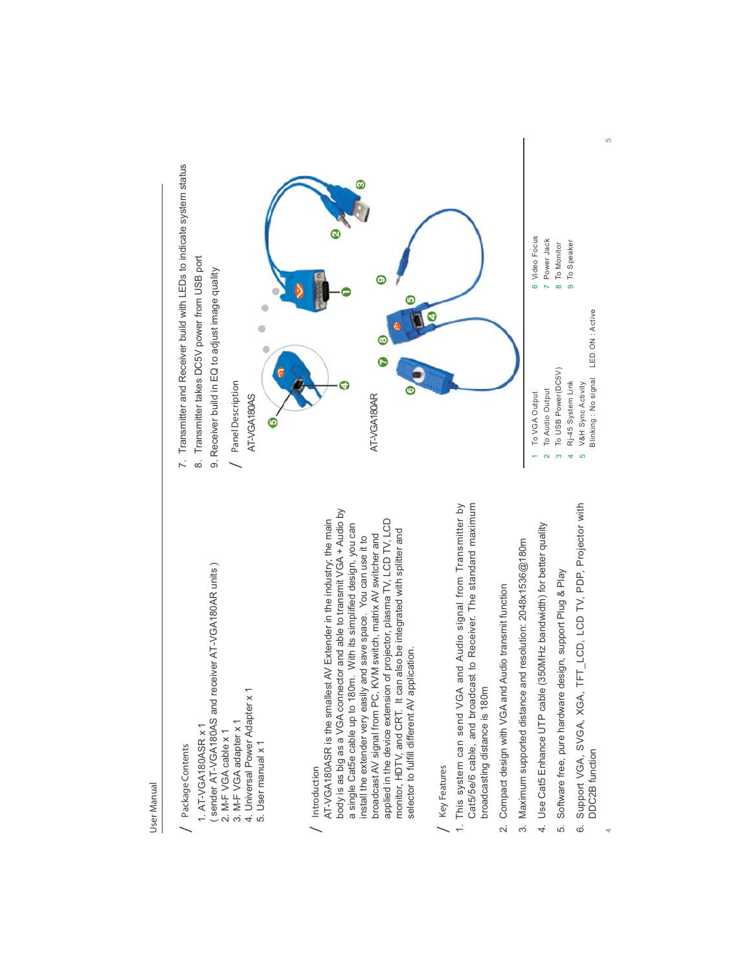## Package Contents / Package Contents

- sender AT-VGA180AS and receiver AT-VGA180AR units) ( sender AT-VGA180AS and receiver AT-VGA180AR units ) 1. AT-VGA180ASR x 1 1. AT-VGA180ASR x 1
	- 2. M-F VGA cable x 1 2. M-F VGA cable x 1
- 3. M-F VGA adapter x 1 3. M-F VGA adapter x 1
- 4. Universal Power Adapter x 1<br>5. User manual x 1 4. Universal Power Adapter x 1
	- 5. User manual x 1

#### Introduction / Introduction

body is as big as a VGA connector and able to transmit VGA + Audio by body is as big as a VGA connector and able to transmit VGA + Audio by applied in the device extension of projector, plasma TV, LCD TV, LCD AT-VGA180ASR is the smallest AV Extender in the industry; the main AT-VGA180ASR is the smallest AV Extender in the industry; the main applied in the device extension of projector, plasma TV, LCD TV, LCD a single Cat5e cable up to 180m. With its simplified design, you can a single Cat5e cable up to 180m. With its simplified design, you can monitor, HDTV, and CRT. It can also be integrated with splitter and monitor, HDTV, and CRT. It can also be integrated with splitter and broadcast AV signal from PC, KVM switch, matrix AV switcher and install the extender very easily and save space. You can use it to broadcast AV signal from PC, KVM switch, matrix AV switcher and install the extender very easily and save space. You can use it to selector to fulfill different AV application. selector to fulfill different AV application.

#### Key Features / Key Features

- 1. This system can send VGA and Audio signal from Transmitter by Cat5/5e/6 cable, and broadcast to Receiver. The standard maximum 1. This system can send VGA and Audio signal from Transmitter by Cat5/5e/6 cable, and broadcast to Receiver. The standard maximum broadcasting distance is 180m broadcasting distance is 180m
- 2. Compact design with VGA and Audio transmit function 2. Compact design with VGA and Audio transmit function
- 3. Maximum supported distance and resolution: 2048x1536@180m 3. Maximum supported distance and resolution: 2048x1536@180m
- 4. Use Cat5 Enhance UTP cable (350MHz bandwidth) for better quality 4. Use Cat5 Enhance UTP cable (350MHz bandwidth) for better quality
- 5. Software free, pure hardware design, support Plug & Play 5. Software free, pure hardware design, support Plug & Play
- Support VGA, SVGA, XGA, TFT\_LCD, LCD TV, PDP, Projector with 6. Support VGA, SVGA, XGA, TFT\_LCD, LCD TV, PDP, Projector with DDC2B function DDC2B function  $\dot{\circ}$

4

- 7. Transmitter and Receiver build with LEDs to indicate system status 7. Transmitter and Receiver build with LEDs to indicate system status
- 8. Transmitter takes DC5V power from USB port 8. Transmitter takes DC5V power from USB port
	- 9. Receiver build in EQ to adjust image quality 9. Receiver build in EQ to adjust image quality



- 9 To Speaker To Speaker To Monitor 8 To USB Power(DC5V) To USB Power(DC5V) Rj-45 System Link Rj-45 System Link
	- V&H Sync Activity V&H Sync Activity 54
- Blinking: No signal LED ON: Active Blinking : No signal LED ON : Active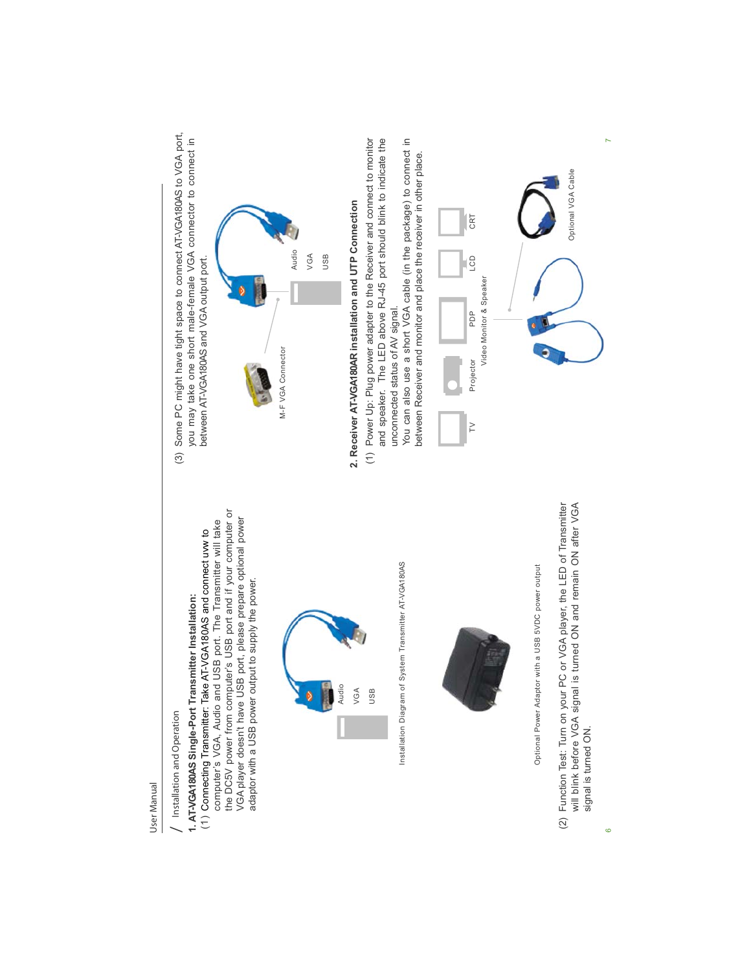

# 1. AT-VGA180AS Single-Port Transmitter Installation: Installation and Operation / Installation and Operation

the DC5V power from computer's USB port and if your computer or the DC5V power from computer's USB port and if your computer or VGA player doesn't have USB port, please prepare optional power VGA player doesn't have USB port, please prepare optional power computer's VGA, Audio and USB port. The Transmitter will take computer's VGA, Audio and USB port. The Transmitter will take Connecting Transmitter: Take AT-VGA180AS and connect uvw to adaptor with a USB power output to supply the power. adaptor with a USB power output to supply the power. **1. AT-VGA180AS Single-Port Transmitter Installation:**  $\widehat{C}$ 



Installation Diagram of System Transmitter AT-VGA180AS Installation Diagram of System Transmitter AT-VGA180AS



Optional Power Adaptor with a USB 5VDC power output Optional Power Adaptor with a USB 5VDC power output

(2) Function Test: Turn on your PC or VGA player, the LED of Transmitter (2) Function Test: Turn on your PC or VGA player, the LED of Transmitter will blink before VGA signal is turned ON and remain ON after VGA will blink before VGA signal is turned ON and remain ON after VGA signal is turned ON. signal is turned ON.

(3) Some PC might have tight space to connect AT-VGA180AS to VGA port,<br>you may take one short male-female VGA connector to connect in (3) Some PC might have tight space to connect AT-VGA180AS to VGA port, you may take one short male-female VGA connector to connect in between AT-VGA180AS and VGA output port. between AT-VGA180AS and VGA output port.



- 2. Receiver AT-VGA180AR installation and UTP Connection **2. Receiver AT-VGA180AR installation and UTP Connection**
- (1) Power Up: Plug power adapter to the Receiver and connect to monitor and speaker. The LED above RJ-45 port should blink to indicate the (1) Power Up: Plug power adapter to the Receiver and connect to monitor and speaker. The LED above RJ-45 port should blink to indicate the unconnected status of AV signal. unconnected status of AV signal.

You can also use a short VGA cable (in the package) to connect in You can also use a short VGA cable (in the package) to connect in between Receiver and monitor and place the receiver in other place. between Receiver and monitor and place the receiver in other place.



 $\mathbf{r}$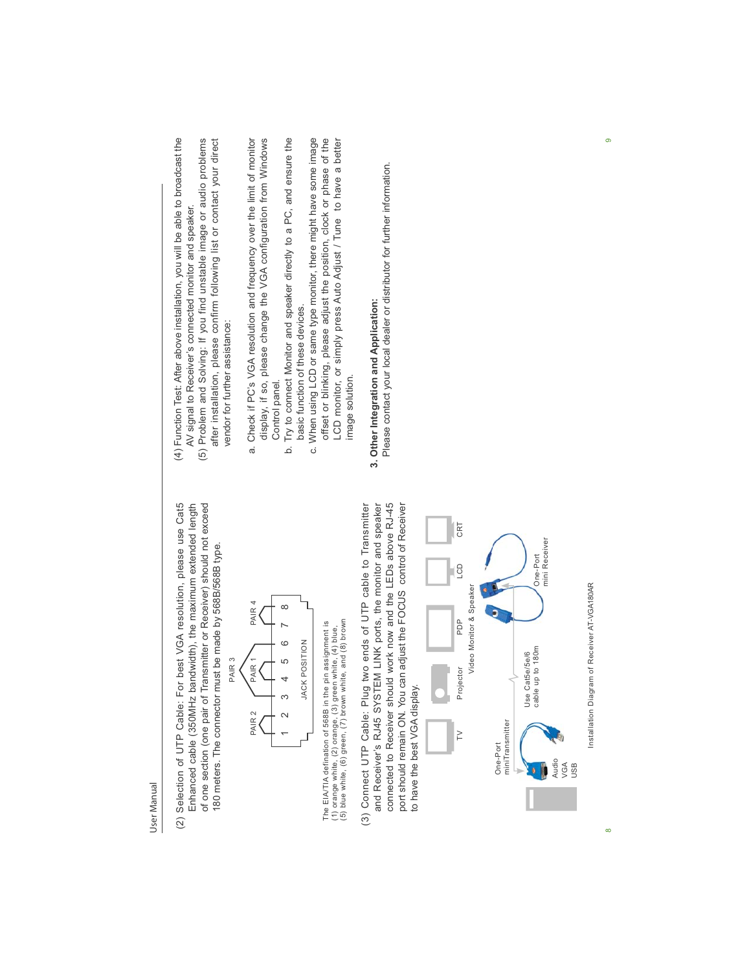Selection of UTP Cable: For best VGA resolution, please use Cat5 of one section (one pair of Transmitter or Receiver) should not exceed (2) Selection of UTP Cable: For best VGA resolution, please use Cat5 Enhanced cable (350MHz bandwidth), the maximum extended length of one section (one pair of Transmitter or Receiver) should not exceed Enhanced cable (350MHz bandwidth), the maximum extended length 180 meters. The connector must be made by 568B/568B type. 180 meters. The connector must be made by 568B/568B type.  $(2)$ 



The EIA/TIA defination of 568B in the pin assignment is<br>(1) orange white, (2) orange, (3) green white, (4) blue,<br>(5) blue white, (6) green, (7) brown white, and (8) brown The EIA/TIA defination of 568B in the pin assignment is (5) blue white, (6) green, (7) brown white, and (8) brown (1) orange white, (2) orange, (3) green white, (4) blue,

connected to Receiver should work now and the LEDs above RJ-45 port should remain ON. You can adjust the FOCUS control of Receiver (3) Connect UTP Cable: Plug two ends of UTP cable to Transmitter and Receiver's RJ45 SYSTEM LINK ports, the monitor and speaker and Receiver's RJ45 SYSTEM LINK ports, the monitor and speaker connected to Receiver should work now and the LEDs above RJ-45 (3) Connect UTP Cable: Plug two ends of UTP cable to Transmitter port should remain ON. You can adjust the FOCUS control of Receiver to have the best VGA display. to have the best VGA display



Installation Diagram of Receiver AT-VGA180AR Installation Diagram of Receiver AT-VGA180AR

 $\infty$ 

- (4) Function Test: After above installation, you will be able to broadcast the (4) Function Test: After above installation, you will be able to broadcast the AV signal to Receiver's connected monitor and speaker. AV signal to Receiver's connected monitor and speaker.
- (5) Problem and Solving: If you find unstable image or audio problems (5) Problem and Solving: If you find unstable image or audio problems after installation, please confirm following list or contact your direct after installation, please confirm following list or contact your direct vendor for further assistance: vendor for further assistance:
- a. Check if PC's VGA resolution and frequency over the limit of monitor a. Check if PC's VGA resolution and frequency over the limit of monitor display, if so, please change the VGA configuration from Windows display, if so, please change the VGA configuration from Windows Control panel. Control panel.
- b. Try to connect Monitor and speaker directly to a PC, and ensure the b. Try to connect Monitor and speaker directly to a PC, and ensure the basic function of these devices. basic function of these devices.
- c. When using LCD or same type monitor, there might have some image offset or blinking, please adjust the position, clock or phase of the offset or blinking, please adjust the position, clock or phase of the LCD monitor, or simply press Auto Adjust / Tune to have a better c. When using LCD or same type monitor, there might have some image LCD monitor, or simply press Auto Adjust / Tune to have a better image solution. image solution.

# 3. Other Integration and Application: **3. Other Integration and Application:**

Please contact your local dealer or distributor for further information. Please contact your local dealer or distributor for further information.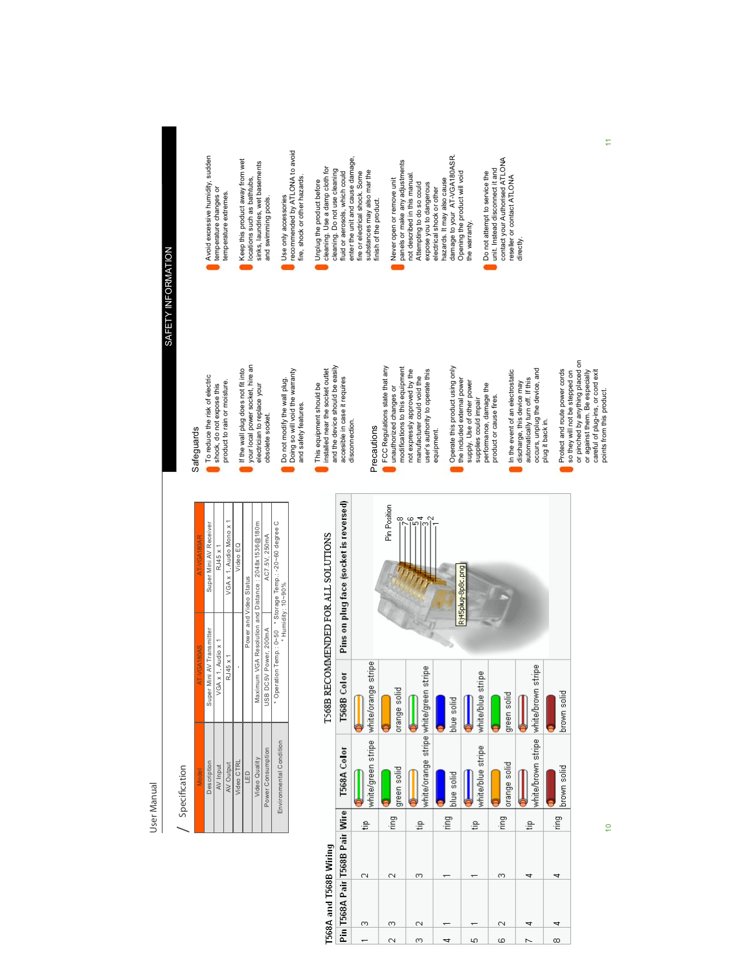#### / Specification / Specification

| AT-VGA180AR | Super Mini AV Receiver    | RJ45 x 1           | VGA x 1, Audio Mono x 1 | Video EQ   |                        |                                                     | AC7.5V, 250mA         | * Operation Temp.: 0~50 * Storage Temp.: -20~60 degree C |
|-------------|---------------------------|--------------------|-------------------------|------------|------------------------|-----------------------------------------------------|-----------------------|----------------------------------------------------------|
| AT-VGA180AS | Super Mini AV Transmitter | VGA x 1, Audio x 1 | RJ45 x 1                |            | Power and Video Status | Maximum VGA Resolution and Distance: 2048x1536@180m | USB DC5V Power, 200mA | * Humidity: 10~90%                                       |
| Model       | Description               | AV Input           | AV Output               | Video CTRL | LED                    | Video Quality                                       | Power Consumption     | Environmental Condition                                  |

# T568B RECOMMENDED FOR ALL SOLUTIONS

T568A and T568B Wiring

|          | Pin T568A Pair T568B Pair Wire |   |          | T568A Color                            | T568B Color         | Pins on plug face (socket is reversed) |
|----------|--------------------------------|---|----------|----------------------------------------|---------------------|----------------------------------------|
|          | m                              | C | €        | white/green stripe                     | white/orange stripe |                                        |
| Ñ        | 0                              | N | ring     | green solid                            | orange solid        | Pin Position                           |
| m        | $\mathbb{N}$                   | ω | ₽        | white/orange stripe white/green stripe |                     |                                        |
| 寸        |                                |   | Ξ        | blue solid                             | blue solid          |                                        |
| LO.      |                                |   | ≞        | white/blue stripe                      | white/blue stripe   | Rj45plug-8p8c.png                      |
| ω        | $\scriptstyle\sim$             | ω | ing<br>E | orange solid                           | green solid         |                                        |
|          |                                |   | ŝ        | white/brown stripe                     | white/brown stripe  |                                        |
| $\infty$ |                                |   | ing      | hrnwn solid                            | hrnwn solid         |                                        |

# SAFETY INFORMATION SAFETY INFORMATION

Safeguards

Safeguards

To reduce the risk of electric shock, do not expose this product to rain or moisture. If the wall plug does not fit into your local power socket, hire an electrician to replace your obsolete socket.

To reduce the risk of electric<br>shock, do not expose this

product to rain or moisture.

- Avoid excessive humidity, sudden<br>temperature changes or Avoid excessive humidity, sudden temperature changes or temperature extremes. temperature extremes.
- Keep this product away from wet locations such as bathtubs,<br>sinks, laundries, wet basements Keep this product away from wet sinks, laundries, wet basements locations such as bathtubs, and swimming pools. and swimming pools.
- Use only accessories<br>recommended by ATLONA to avoid recommended by ATLONA to avoid fire, shock or other hazards. fire, shock or other hazards. Use only accessories

Do not modify the wall plug. Doing so will void the warranty and safety features. This equipment should be installed near the socket outlet and the device should be easily accesible in case it requires disconnection.

obsolete socket.

Do not modify the wall plug.<br>Doing so will void the warranty

and safety features.

If the wall plug does not fit into<br>your local power socket, hire an<br>electrician to replace your

nux or concerned, million comes<br>enter the unit and cause damage,<br>fire or electrical shock. Some<br>substances may also mar the enter the unit and cause damage, cleaning. Use a damp cloth for<br>cleaning. Do not use deaning cleaning. Use a damp cloth for fluid or aerosols, which could cleaning. Do not use cleaning substances may also mar the fluid or aerosols, which could fire or electrical shock. Some Unplug the product before Unplug the product before finish of the product. finish of the product.

Precautions

Precautions

This equipment should be<br>installed near the socket outlet<br>and the device should be easily<br>disconnection.

FCC Regulations state that any unauthorized changes or modifications to this equipment not expressly approved by the manufacturer could void the user's authority to operate this

FCC Regulations state that any<br>unauthorized changes or<br>modifications to this equipment

electrical shock or other<br>hazards. It may also cause<br>damage to your AT-VGA180ASR. damage to your AT-VGA180ASR. panels or make any adjustments<br>not described in this manual.<br>Attempting to do so could panels or make any adjustments Opening the product will void not described in this manual. Opening the product will void Never open or remove unit Never open or remove unit hazards. It may also cause expose you to dangerous Attempting to do so could expose you to dangerous electrical shock or other

equipment.

equipment.

not expressly approved by the<br>manufacturer could void the<br>user's authority to operate this

Operate this product using only the included external power supply. Use of other power supplies could impair performance, damage the product or cause fires. In the event of an electrostatic discharge, this device may automatically turn off. If this occurs, unplug the device, and

Operate this product using only<br>the included external power<br>supply. Use of other power<br>supplies could impair

Do not attempt to service the unit. Instead disconnect it and contact your Authorised ATLONA reseller or contact ATLONA Do not attempt to service the<br>unit. Instead discomeert and<br>contact your Authorised ATLONA<br>directly.

the warranty.

the warranty.

plug it back in.

plug it back in.

occurs, unplug the device, and

In the event of an electrostatic

performance, damage the<br>product or cause fires.

discharge, this device may<br>automatically turn off. If this

Protect and route power cords so they will not be stepped on or pinched by anything placed on or against them. Be especially careful of plug-ins, or cord exit points from this product.

Protect and route power cords<br>so they will not be stepped on<br>or pinched by anything placed on<br>cargain di plug-in. Be especially<br>cargain di plug-in. Be especially<br>points from this product.

10 11  $\frac{1}{2}$